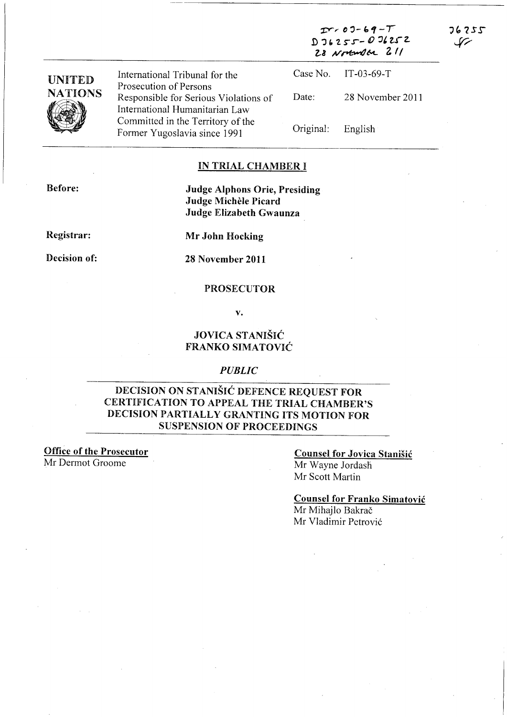| <b>UNITED</b><br><b>NATIONS</b> | International Tribunal for the<br>Prosecution of Persons                | $T > 07 - 69 - T$<br>$D26255 - 076252$<br>28 Northwalter 211 |                  | 76255 |
|---------------------------------|-------------------------------------------------------------------------|--------------------------------------------------------------|------------------|-------|
|                                 |                                                                         | Case No.                                                     | $IT-03-69-T$     |       |
|                                 | Responsible for Serious Violations of<br>International Humanitarian Law | Date:                                                        | 28 November 2011 |       |
|                                 | Committed in the Territory of the<br>Former Yugoslavia since 1991       | Original:                                                    | English          |       |

#### IN TRIAL CHAMBER I

Before:

Judge Alphons Orie, Presiding Judge Michèle Picard Judge Elizabeth Gwaunza

Registrar:

Decision of:

Mr John Hocking

28 November 2011

#### PROSECUTOR

v.

### JOVICA STANISIC FRANKO SIMATOVIC

#### *PUBLIC*

### DECISION ON STANISIC DEFENCE REQUEST FOR CERTIFICATION TO APPEAL THE TRIAL CHAMBER'S DECISION PARTIALLY GRANTING ITS MOTION FOR SUSPENSION OF PROCEEDINGS

Office of the Prosecutor

Mr Dermot Groome

### Counsel for Jovica Stanisic

 $T < 00 - 69 - T$ 

Mr Wayne Jordash Mr Scott Martin

### Counsel for Franko Simatovic

Mr Mihajlo Bakrač Mr Vladimir Petrović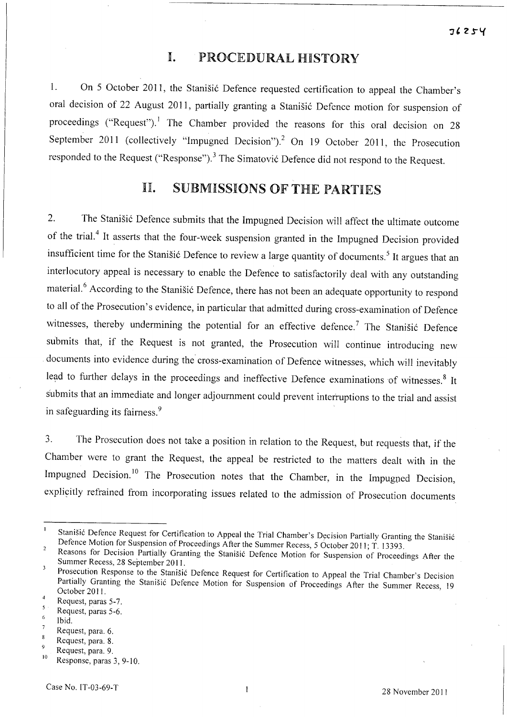## **I.** PROCEDURAL HISTORY

1. On 5 October 2011, the Stanisic Defence requested certification to appeal the Chamber's oral decision of 22 August 2011, partially granting a Stanišić Defence motion for suspension of proceedings ("Request").<sup>1</sup> The Chamber provided the reasons for this oral decision on 28 September 2011 (collectively "Impugned Decision").<sup>2</sup> On 19 October 2011, the Prosecution responded to the Request ("Response").<sup>3</sup> The Simatović Defence did not respond to the Request.

## II. SUBMISSIONS OF THE PARTIES

2. The Stanišić Defence submits that the Impugned Decision will affect the ultimate outcome of the trial.<sup>4</sup> It asserts that the four-week suspension granted in the Impugned Decision provided insufficient time for the Stanisić Defence to review a large quantity of documents.<sup>5</sup> It argues that an interlocutory appeal is necessary to enable the Defence to satisfactorily deal with any outstanding material.<sup>6</sup> According to the Stanišić Defence, there has not been an adequate opportunity to respond to all of the Prosecution's evidence, in particular that admitted during cross-examination of Defence witnesses, thereby undermining the potential for an effective defence.<sup>7</sup> The Stanišić Defence submits that, if the Request is not granted, the Prosecution will continue introducing new documents into evidence during the cross-examination of Defence witnesses, which will inevitably lead to further delays in the proceedings and ineffective Defence examinations of witnesses.<sup>8</sup> It submits that an immediate and longer adjournment could prevent interruptions to the trial and assist in safeguarding its faimess. <sup>9</sup>

3. The Prosecution does not take a position in relation to the Request, but requests that, if the Chamber were to grant the Request, the appeal be restricted to the matters dealt with in the Impugned Decision.<sup>10</sup> The Prosecution notes that the Chamber, in the Impugned Decision, explicitly refrained from incorporating issues related to the admission of Prosecution documents

 $\mathbf{I}$ Stanišić Defence Request for Certification to Appeal the Trial Chamber's Decision Partially Granting the Stanišić Defence Motion for Suspension of Proceedings After the Summer Recess, 5 October 2011; T. 13393.  $\overline{2}$ 

Reasons for Decision Partially Granting the Stanišić Defence Motion for Suspension of Proceedings After the Summer Recess, 28 September 2011.  $\overline{\mathbf{3}}$ 

Prosecution Response to the Stanisić Defence Request for Certification to Appeal the Trial Chamber's Decision Partially Granting the Stanišić Defence Motion for Suspension of Proceedings After the Summer Recess, 19 October 2011.  $\overline{4}$ 

Request, paras 5-7.  $5<sup>5</sup>$ 

Request, paras 5-6.  $\ddot{6}$ 

Ibid.  $\overline{7}$ 

Request, para. 6.  $\boldsymbol{8}$ 

Request, para. 8. Request, para. 9.

 $\frac{10}{10}$  Response, paras 3, 9-10.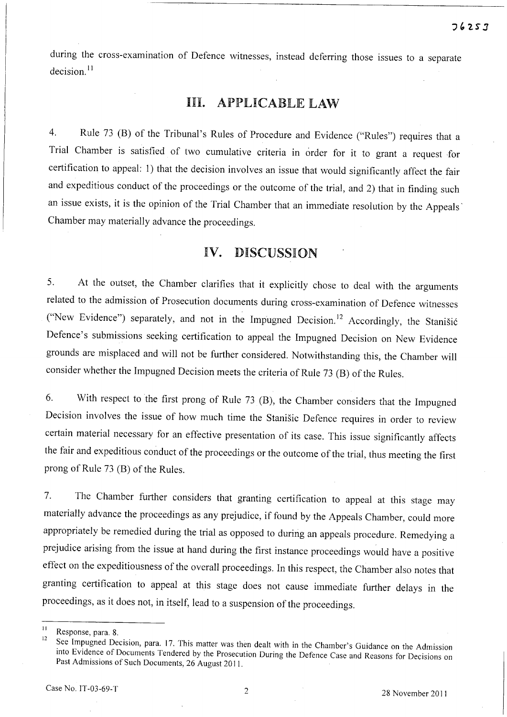during the cross-examination of Defence witnesses, instead deferring those issues to a separate  $decision.<sup>11</sup>$ 

### Ill. APPLICABLE LAW

4. Rule 73 (B) of the Tribunal's Rules of Procedure and Evidence ("Rules") requires that a Trial Chamber is satisfied of two cumulative criteria in order for it to grant a request for certification to appeal: 1) that the decision involves an issue that would significantly affect the fair and expeditious conduct of the proceedings or the outcome of the trial, and 2) that in finding such an issue exists, it is the opinion of the Trial Chamber that an immediate resolution by the Appeals' Chamber may materially advance the proceedings.

## **IV.** DISCUSSION

5. At the outset, the Chamber clarifies that it explicitly chose to deal with the arguments related to the admission of Prosecution documents during cross-examination of Defence witnesses ("New Evidence") separately, and not in the Impugned Decision.<sup>12</sup> Accordingly, the Stanisić Defence's submissions seeking certification to appeal the Impugned Decision on New Evidence grounds are misplaced and will not be further considered. Notwithstanding this, the Chamber will consider whether the Impugned Decision meets the criteria of Rule 73 (B) of the Rules.

6. With respect to the first prong of Rule 73 (B), the Chamber considers that the Impugned Decision involves the issue of how much time the Stanisic Defence requires in order to review certain material necessary for an effective presentation of its case. This issue significantly affects the fair and expeditious conduct of the proceedings or the outcome of the trial, thus meeting the first prong of Rule 73 (B) of the Rules.

7. The Chamber further considers that granting certification to appeal at this stage may materially advance the proceedings as any prejudice, if found by the Appeals Chamber, could more appropriately be remedied during the trial as opposed to during an appeals procedure. Remedying a prejudice arising from the issue at hand during the first instance proceedings would have a positive effect on the expeditiousness of the overall proceedings. In this respect, the Chamber also notes that granting certification to appeal at this stage does not cause immediate further delays in the proceedings, as it does not, in itself, lead to a suspension of the proceedings.

 $\frac{11}{12}$  Response, para. 8.

See Impugned Decision, para. 17. This matter was then dealt with in the Chamber's Guidance on the Admission into Evidence of Documents Tendered by the Prosecution During the Defence Case and Reasons for Decisions on Past Admissions of Such Documents, 26 August 2011.